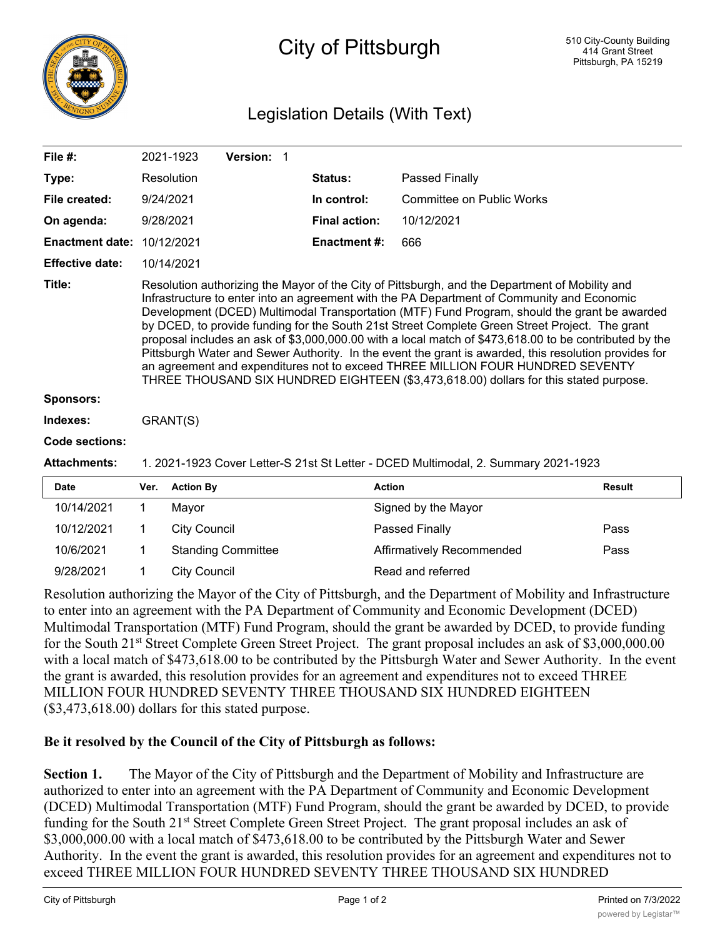

## City of Pittsburgh

## Legislation Details (With Text)

| File #:                |                                                                                                                                                                                                                                                                                                                                                                                                                                                                                                                                                                                                                                                                                                                                                                                              | 2021-1923           | Version: 1                |  |                      |                                  |  |        |
|------------------------|----------------------------------------------------------------------------------------------------------------------------------------------------------------------------------------------------------------------------------------------------------------------------------------------------------------------------------------------------------------------------------------------------------------------------------------------------------------------------------------------------------------------------------------------------------------------------------------------------------------------------------------------------------------------------------------------------------------------------------------------------------------------------------------------|---------------------|---------------------------|--|----------------------|----------------------------------|--|--------|
| Type:                  |                                                                                                                                                                                                                                                                                                                                                                                                                                                                                                                                                                                                                                                                                                                                                                                              | Resolution          |                           |  | Status:              | Passed Finally                   |  |        |
| File created:          |                                                                                                                                                                                                                                                                                                                                                                                                                                                                                                                                                                                                                                                                                                                                                                                              | 9/24/2021           |                           |  | In control:          | <b>Committee on Public Works</b> |  |        |
| On agenda:             |                                                                                                                                                                                                                                                                                                                                                                                                                                                                                                                                                                                                                                                                                                                                                                                              | 9/28/2021           |                           |  | <b>Final action:</b> | 10/12/2021                       |  |        |
| <b>Enactment date:</b> |                                                                                                                                                                                                                                                                                                                                                                                                                                                                                                                                                                                                                                                                                                                                                                                              | 10/12/2021          |                           |  | <b>Enactment #:</b>  | 666                              |  |        |
| <b>Effective date:</b> |                                                                                                                                                                                                                                                                                                                                                                                                                                                                                                                                                                                                                                                                                                                                                                                              | 10/14/2021          |                           |  |                      |                                  |  |        |
| Title:                 | Resolution authorizing the Mayor of the City of Pittsburgh, and the Department of Mobility and<br>Infrastructure to enter into an agreement with the PA Department of Community and Economic<br>Development (DCED) Multimodal Transportation (MTF) Fund Program, should the grant be awarded<br>by DCED, to provide funding for the South 21st Street Complete Green Street Project. The grant<br>proposal includes an ask of \$3,000,000.00 with a local match of \$473,618.00 to be contributed by the<br>Pittsburgh Water and Sewer Authority. In the event the grant is awarded, this resolution provides for<br>an agreement and expenditures not to exceed THREE MILLION FOUR HUNDRED SEVENTY<br>THREE THOUSAND SIX HUNDRED EIGHTEEN (\$3,473,618.00) dollars for this stated purpose. |                     |                           |  |                      |                                  |  |        |
| <b>Sponsors:</b>       |                                                                                                                                                                                                                                                                                                                                                                                                                                                                                                                                                                                                                                                                                                                                                                                              |                     |                           |  |                      |                                  |  |        |
| Indexes:               | GRANT(S)                                                                                                                                                                                                                                                                                                                                                                                                                                                                                                                                                                                                                                                                                                                                                                                     |                     |                           |  |                      |                                  |  |        |
| Code sections:         |                                                                                                                                                                                                                                                                                                                                                                                                                                                                                                                                                                                                                                                                                                                                                                                              |                     |                           |  |                      |                                  |  |        |
| <b>Attachments:</b>    | 1. 2021-1923 Cover Letter-S 21st St Letter - DCED Multimodal, 2. Summary 2021-1923                                                                                                                                                                                                                                                                                                                                                                                                                                                                                                                                                                                                                                                                                                           |                     |                           |  |                      |                                  |  |        |
| <b>Date</b>            | Ver.                                                                                                                                                                                                                                                                                                                                                                                                                                                                                                                                                                                                                                                                                                                                                                                         | <b>Action By</b>    |                           |  |                      | <b>Action</b>                    |  | Result |
| 10/14/2021             | 1                                                                                                                                                                                                                                                                                                                                                                                                                                                                                                                                                                                                                                                                                                                                                                                            | Mayor               |                           |  |                      | Signed by the Mayor              |  |        |
| 10/12/2021             | 1                                                                                                                                                                                                                                                                                                                                                                                                                                                                                                                                                                                                                                                                                                                                                                                            | <b>City Council</b> |                           |  |                      | Passed Finally                   |  | Pass   |
| 10/6/2021              |                                                                                                                                                                                                                                                                                                                                                                                                                                                                                                                                                                                                                                                                                                                                                                                              |                     | <b>Standing Committee</b> |  |                      | Affirmatively Recommended        |  | Pass   |

Resolution authorizing the Mayor of the City of Pittsburgh, and the Department of Mobility and Infrastructure to enter into an agreement with the PA Department of Community and Economic Development (DCED) Multimodal Transportation (MTF) Fund Program, should the grant be awarded by DCED, to provide funding for the South 21<sup>st</sup> Street Complete Green Street Project. The grant proposal includes an ask of \$3,000,000.00 with a local match of \$473,618.00 to be contributed by the Pittsburgh Water and Sewer Authority. In the event the grant is awarded, this resolution provides for an agreement and expenditures not to exceed THREE MILLION FOUR HUNDRED SEVENTY THREE THOUSAND SIX HUNDRED EIGHTEEN (\$3,473,618.00) dollars for this stated purpose.

## **Be it resolved by the Council of the City of Pittsburgh as follows:**

9/28/2021 1 City Council Read and referred

**Section 1.** The Mayor of the City of Pittsburgh and the Department of Mobility and Infrastructure are authorized to enter into an agreement with the PA Department of Community and Economic Development (DCED) Multimodal Transportation (MTF) Fund Program, should the grant be awarded by DCED, to provide funding for the South 21<sup>st</sup> Street Complete Green Street Project. The grant proposal includes an ask of \$3,000,000.00 with a local match of \$473,618.00 to be contributed by the Pittsburgh Water and Sewer Authority. In the event the grant is awarded, this resolution provides for an agreement and expenditures not to exceed THREE MILLION FOUR HUNDRED SEVENTY THREE THOUSAND SIX HUNDRED